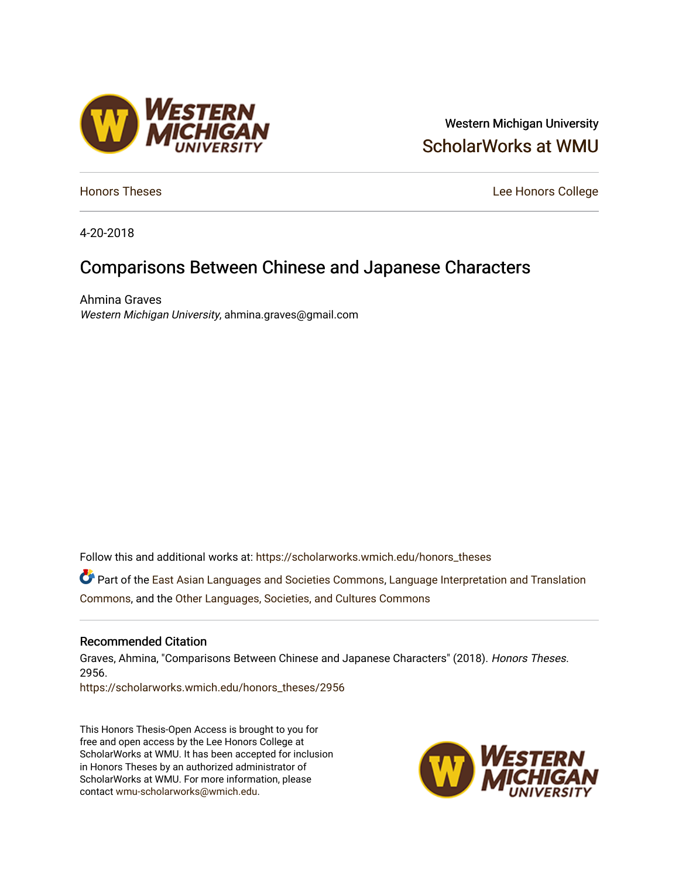# Western Michigan University [ScholarWorks at WMU](https://scholarworks.wmich.edu/)

**[Honors Theses](https://scholarworks.wmich.edu/honors_theses)** Lee Honors College

4-20-2018

# Comparisons Between Chinese and Japanese Characters

Ahmina Graves Western Michigan University, ahmina.graves@gmail.com

Follow this and additional works at: [https://scholarworks.wmich.edu/honors\\_theses](https://scholarworks.wmich.edu/honors_theses?utm_source=scholarworks.wmich.edu%2Fhonors_theses%2F2956&utm_medium=PDF&utm_campaign=PDFCoverPages)

Part of the [East Asian Languages and Societies Commons,](http://network.bepress.com/hgg/discipline/481?utm_source=scholarworks.wmich.edu%2Fhonors_theses%2F2956&utm_medium=PDF&utm_campaign=PDFCoverPages) [Language Interpretation and Translation](http://network.bepress.com/hgg/discipline/1391?utm_source=scholarworks.wmich.edu%2Fhonors_theses%2F2956&utm_medium=PDF&utm_campaign=PDFCoverPages)  [Commons](http://network.bepress.com/hgg/discipline/1391?utm_source=scholarworks.wmich.edu%2Fhonors_theses%2F2956&utm_medium=PDF&utm_campaign=PDFCoverPages), and the [Other Languages, Societies, and Cultures Commons](http://network.bepress.com/hgg/discipline/475?utm_source=scholarworks.wmich.edu%2Fhonors_theses%2F2956&utm_medium=PDF&utm_campaign=PDFCoverPages)

#### Recommended Citation

Graves, Ahmina, "Comparisons Between Chinese and Japanese Characters" (2018). Honors Theses. 2956.

[https://scholarworks.wmich.edu/honors\\_theses/2956](https://scholarworks.wmich.edu/honors_theses/2956?utm_source=scholarworks.wmich.edu%2Fhonors_theses%2F2956&utm_medium=PDF&utm_campaign=PDFCoverPages) 

This Honors Thesis-Open Access is brought to you for free and open access by the Lee Honors College at ScholarWorks at WMU. It has been accepted for inclusion in Honors Theses by an authorized administrator of ScholarWorks at WMU. For more information, please contact [wmu-scholarworks@wmich.edu](mailto:wmu-scholarworks@wmich.edu).



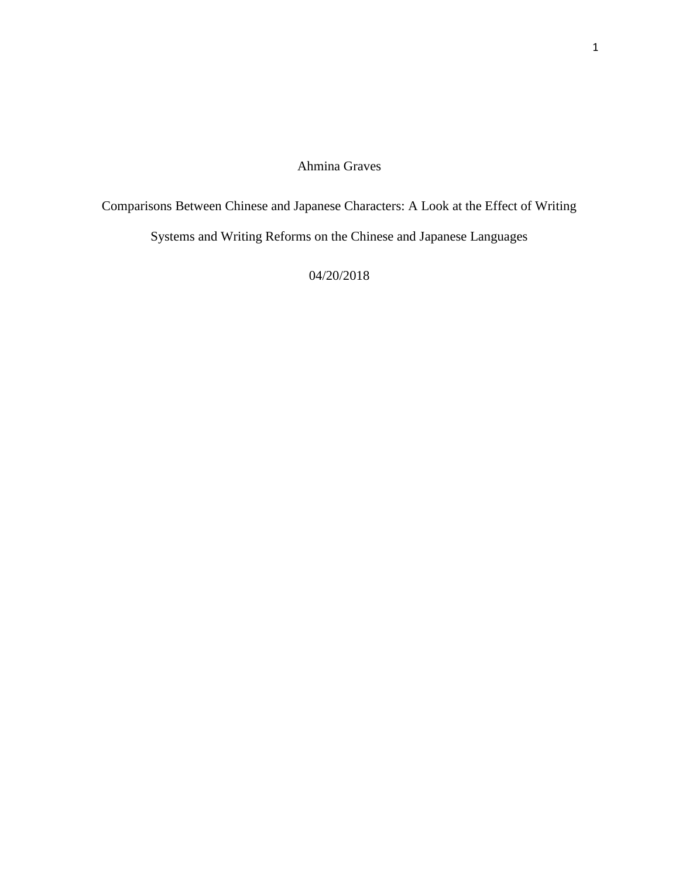## Ahmina Graves

Comparisons Between Chinese and Japanese Characters: A Look at the Effect of Writing Systems and Writing Reforms on the Chinese and Japanese Languages

04/20/2018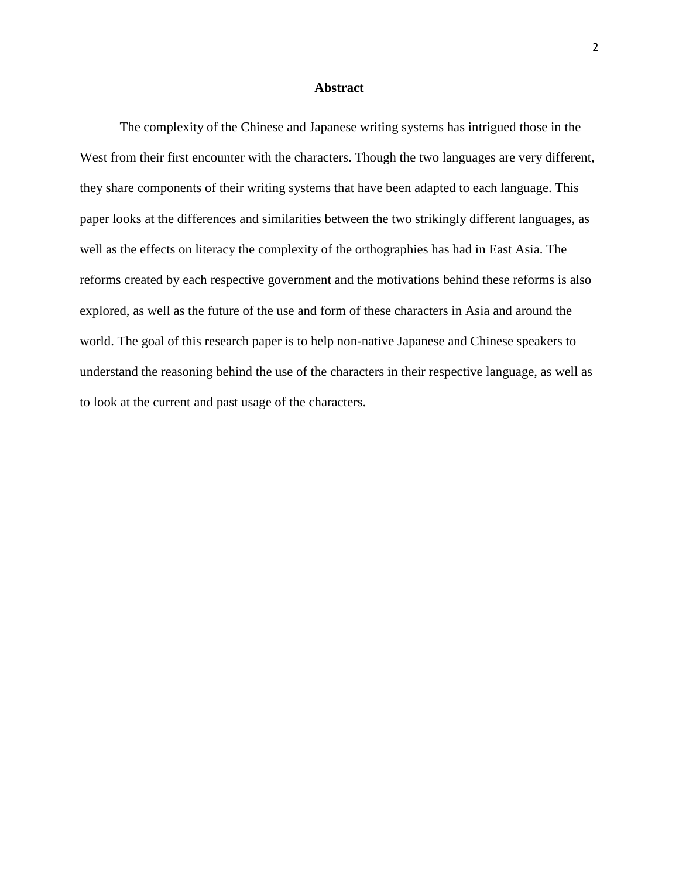#### **Abstract**

 The complexity of the Chinese and Japanese writing systems has intrigued those in the West from their first encounter with the characters. Though the two languages are very different, they share components of their writing systems that have been adapted to each language. This paper looks at the differences and similarities between the two strikingly different languages, as well as the effects on literacy the complexity of the orthographies has had in East Asia. The reforms created by each respective government and the motivations behind these reforms is also explored, as well as the future of the use and form of these characters in Asia and around the world. The goal of this research paper is to help non-native Japanese and Chinese speakers to understand the reasoning behind the use of the characters in their respective language, as well as to look at the current and past usage of the characters.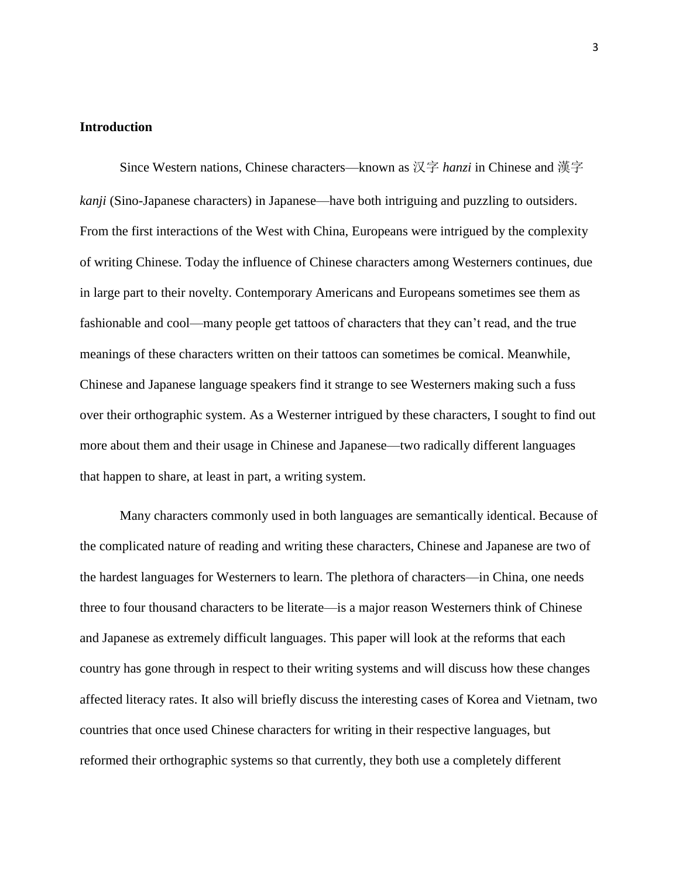#### **Introduction**

Since Western nations, Chinese characters—known as 汉字 *hanzi* in Chinese and 漢字 *kanji* (Sino-Japanese characters) in Japanese—have both intriguing and puzzling to outsiders. From the first interactions of the West with China, Europeans were intrigued by the complexity of writing Chinese. Today the influence of Chinese characters among Westerners continues, due in large part to their novelty. Contemporary Americans and Europeans sometimes see them as fashionable and cool—many people get tattoos of characters that they can't read, and the true meanings of these characters written on their tattoos can sometimes be comical. Meanwhile, Chinese and Japanese language speakers find it strange to see Westerners making such a fuss over their orthographic system. As a Westerner intrigued by these characters, I sought to find out more about them and their usage in Chinese and Japanese—two radically different languages that happen to share, at least in part, a writing system.

Many characters commonly used in both languages are semantically identical. Because of the complicated nature of reading and writing these characters, Chinese and Japanese are two of the hardest languages for Westerners to learn. The plethora of characters—in China, one needs three to four thousand characters to be literate—is a major reason Westerners think of Chinese and Japanese as extremely difficult languages. This paper will look at the reforms that each country has gone through in respect to their writing systems and will discuss how these changes affected literacy rates. It also will briefly discuss the interesting cases of Korea and Vietnam, two countries that once used Chinese characters for writing in their respective languages, but reformed their orthographic systems so that currently, they both use a completely different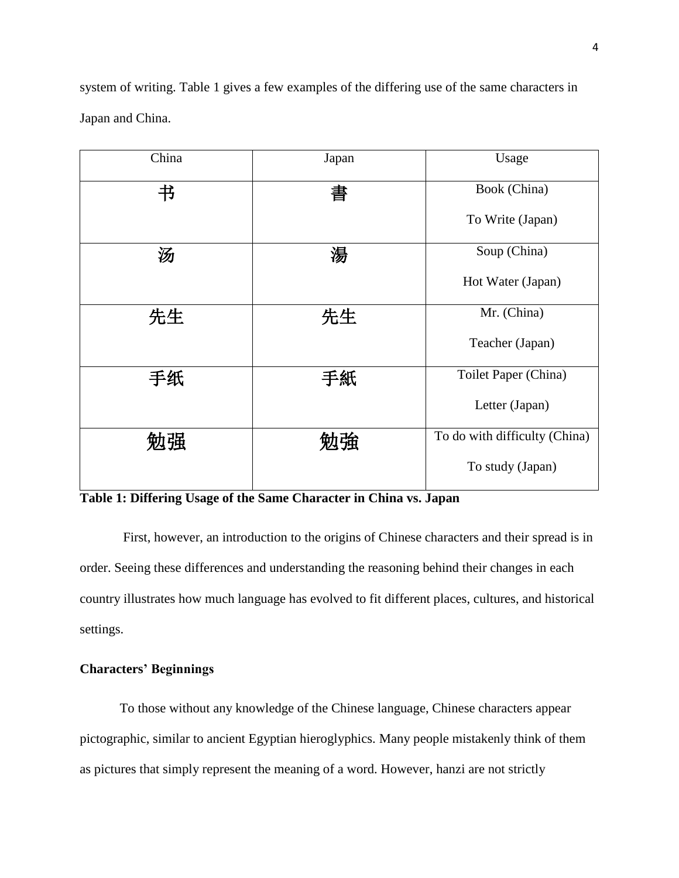system of writing. Table 1 gives a few examples of the differing use of the same characters in Japan and China.

| China | Japan | Usage                         |  |
|-------|-------|-------------------------------|--|
| 书     | 書     | Book (China)                  |  |
|       |       | To Write (Japan)              |  |
| 汤     | 湯     | Soup (China)                  |  |
|       |       | Hot Water (Japan)             |  |
| 先生    | 先生    | Mr. (China)                   |  |
|       |       | Teacher (Japan)               |  |
| 手纸    | 手紙    | Toilet Paper (China)          |  |
|       |       | Letter (Japan)                |  |
| 勉强    | 劬強    | To do with difficulty (China) |  |
|       |       | To study (Japan)              |  |

**Table 1: Differing Usage of the Same Character in China vs. Japan**

First, however, an introduction to the origins of Chinese characters and their spread is in order. Seeing these differences and understanding the reasoning behind their changes in each country illustrates how much language has evolved to fit different places, cultures, and historical settings.

### **Characters' Beginnings**

To those without any knowledge of the Chinese language, Chinese characters appear pictographic, similar to ancient Egyptian hieroglyphics. Many people mistakenly think of them as pictures that simply represent the meaning of a word. However, hanzi are not strictly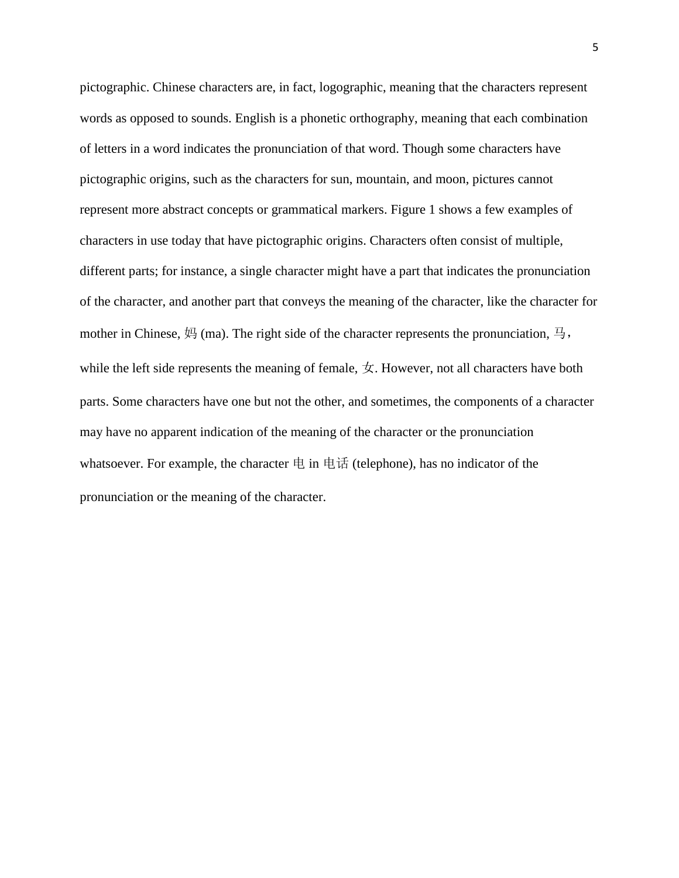pictographic. Chinese characters are, in fact, logographic, meaning that the characters represent words as opposed to sounds. English is a phonetic orthography, meaning that each combination of letters in a word indicates the pronunciation of that word. Though some characters have pictographic origins, such as the characters for sun, mountain, and moon, pictures cannot represent more abstract concepts or grammatical markers. Figure 1 shows a few examples of characters in use today that have pictographic origins. Characters often consist of multiple, different parts; for instance, a single character might have a part that indicates the pronunciation of the character, and another part that conveys the meaning of the character, like the character for mother in Chinese,  $\overline{AB}$  (ma). The right side of the character represents the pronunciation,  $\overline{B}$ , while the left side represents the meaning of female,  $\pm$ . However, not all characters have both parts. Some characters have one but not the other, and sometimes, the components of a character may have no apparent indication of the meaning of the character or the pronunciation whatsoever. For example, the character  $\pm$  in  $\pm \vec{a}$  (telephone), has no indicator of the pronunciation or the meaning of the character.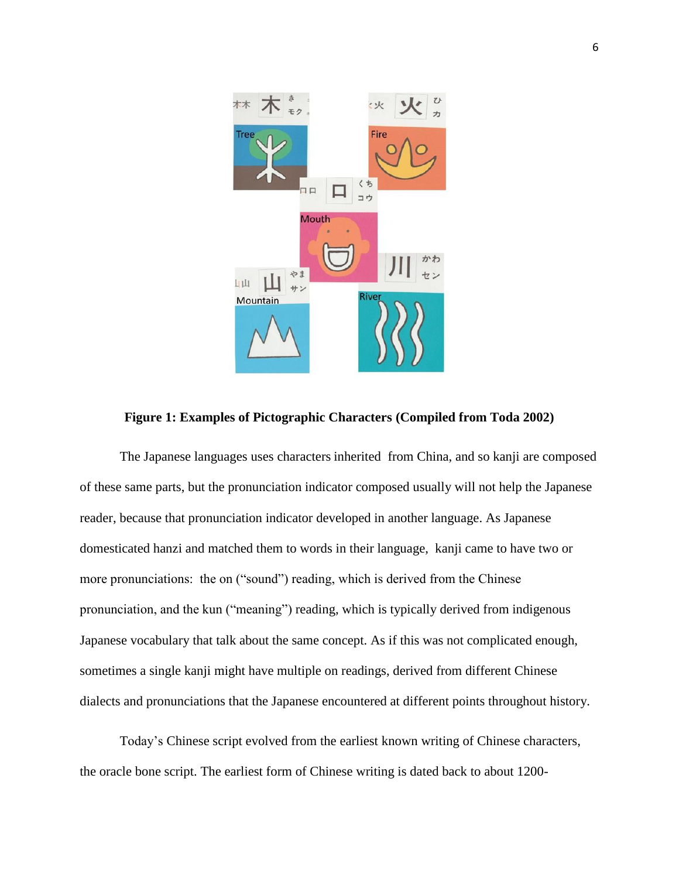

**Figure 1: Examples of Pictographic Characters (Compiled from Toda 2002)**

The Japanese languages uses characters inherited from China, and so kanji are composed of these same parts, but the pronunciation indicator composed usually will not help the Japanese reader, because that pronunciation indicator developed in another language. As Japanese domesticated hanzi and matched them to words in their language, kanji came to have two or more pronunciations: the on ("sound") reading, which is derived from the Chinese pronunciation, and the kun ("meaning") reading, which is typically derived from indigenous Japanese vocabulary that talk about the same concept. As if this was not complicated enough, sometimes a single kanji might have multiple on readings, derived from different Chinese dialects and pronunciations that the Japanese encountered at different points throughout history.

Today's Chinese script evolved from the earliest known writing of Chinese characters, the oracle bone script. The earliest form of Chinese writing is dated back to about 1200-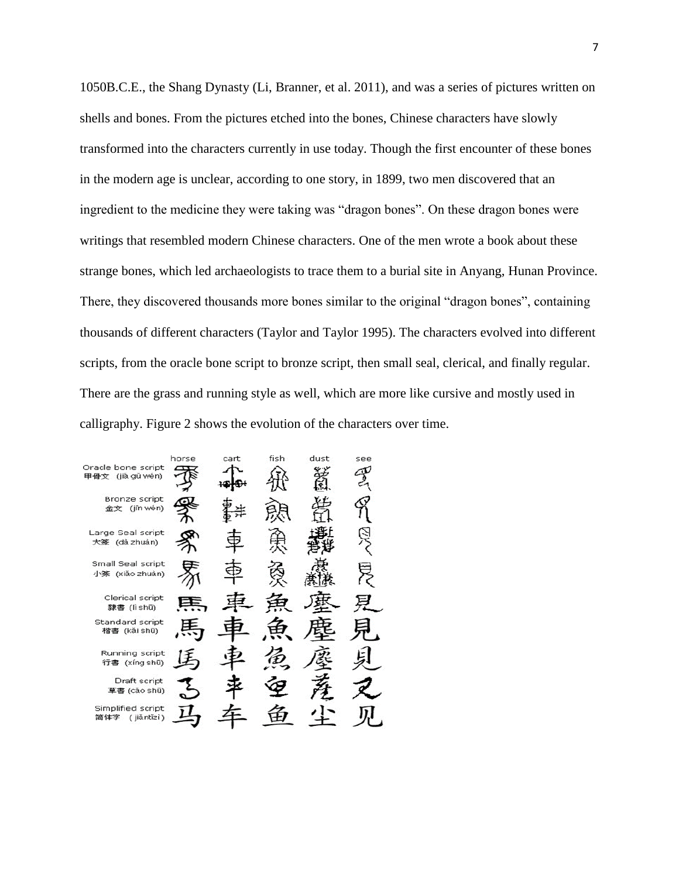1050B.C.E., the Shang Dynasty (Li, Branner, et al. 2011), and was a series of pictures written on shells and bones. From the pictures etched into the bones, Chinese characters have slowly transformed into the characters currently in use today. Though the first encounter of these bones in the modern age is unclear, according to one story, in 1899, two men discovered that an ingredient to the medicine they were taking was "dragon bones". On these dragon bones were writings that resembled modern Chinese characters. One of the men wrote a book about these strange bones, which led archaeologists to trace them to a burial site in Anyang, Hunan Province. There, they discovered thousands more bones similar to the original "dragon bones", containing thousands of different characters (Taylor and Taylor 1995). The characters evolved into different scripts, from the oracle bone script to bronze script, then small seal, clerical, and finally regular. There are the grass and running style as well, which are more like cursive and mostly used in calligraphy. Figure 2 shows the evolution of the characters over time.

|                                        | horse                   | cart | fish | dust | see |
|----------------------------------------|-------------------------|------|------|------|-----|
| Oracle bone script<br>甲骨文 (jiǎ gǔ wén) | $\overline{\mathbf{u}}$ |      |      |      |     |
| Bronze script<br>(jîn wén)<br>金文       |                         |      |      |      |     |
| Large Seal script<br>大祭 (dà zhuàn)     |                         |      |      |      |     |
| Small Seal script<br>小篆 (xiǎo zhuàn)   |                         |      |      |      |     |
| Clerical script<br>隸書 (lì shū)         |                         |      |      |      |     |
| Standard script<br>楷書 (kǎi shū)        |                         |      |      |      |     |
| Running script<br>行書 (xíng shū)        |                         |      |      |      |     |
| Draft script<br>草書 (cǎo shū)           |                         |      |      |      |     |
| Simplified script<br>(jiǎntǐzì)<br>简体字 |                         |      |      |      |     |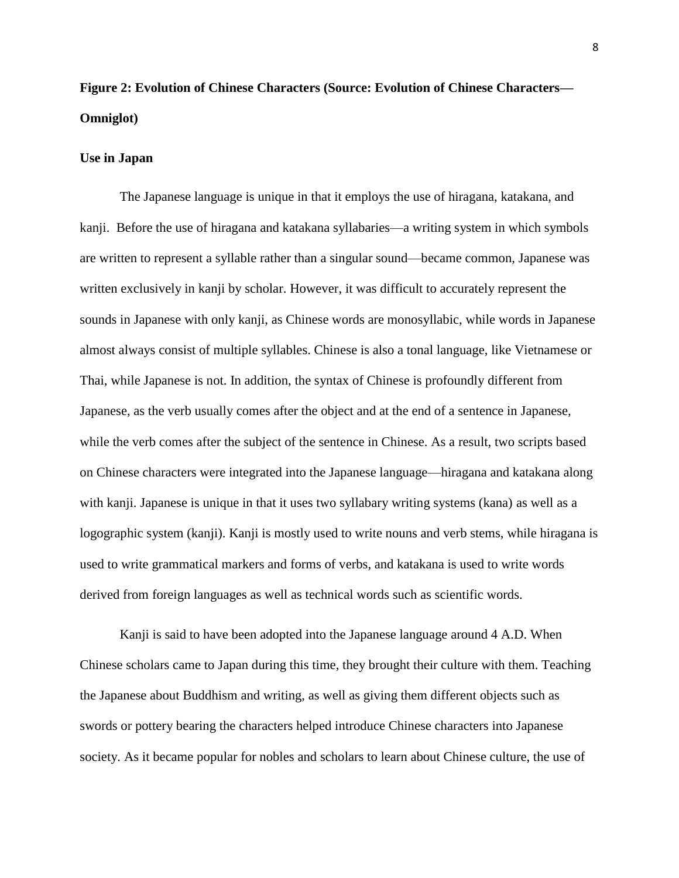# **Figure 2: Evolution of Chinese Characters (Source: Evolution of Chinese Characters— Omniglot)**

#### **Use in Japan**

The Japanese language is unique in that it employs the use of hiragana, katakana, and kanji. Before the use of hiragana and katakana syllabaries—a writing system in which symbols are written to represent a syllable rather than a singular sound—became common, Japanese was written exclusively in kanji by scholar. However, it was difficult to accurately represent the sounds in Japanese with only kanji, as Chinese words are monosyllabic, while words in Japanese almost always consist of multiple syllables. Chinese is also a tonal language, like Vietnamese or Thai, while Japanese is not. In addition, the syntax of Chinese is profoundly different from Japanese, as the verb usually comes after the object and at the end of a sentence in Japanese, while the verb comes after the subject of the sentence in Chinese. As a result, two scripts based on Chinese characters were integrated into the Japanese language—hiragana and katakana along with kanji. Japanese is unique in that it uses two syllabary writing systems (kana) as well as a logographic system (kanji). Kanji is mostly used to write nouns and verb stems, while hiragana is used to write grammatical markers and forms of verbs, and katakana is used to write words derived from foreign languages as well as technical words such as scientific words.

Kanji is said to have been adopted into the Japanese language around 4 A.D. When Chinese scholars came to Japan during this time, they brought their culture with them. Teaching the Japanese about Buddhism and writing, as well as giving them different objects such as swords or pottery bearing the characters helped introduce Chinese characters into Japanese society. As it became popular for nobles and scholars to learn about Chinese culture, the use of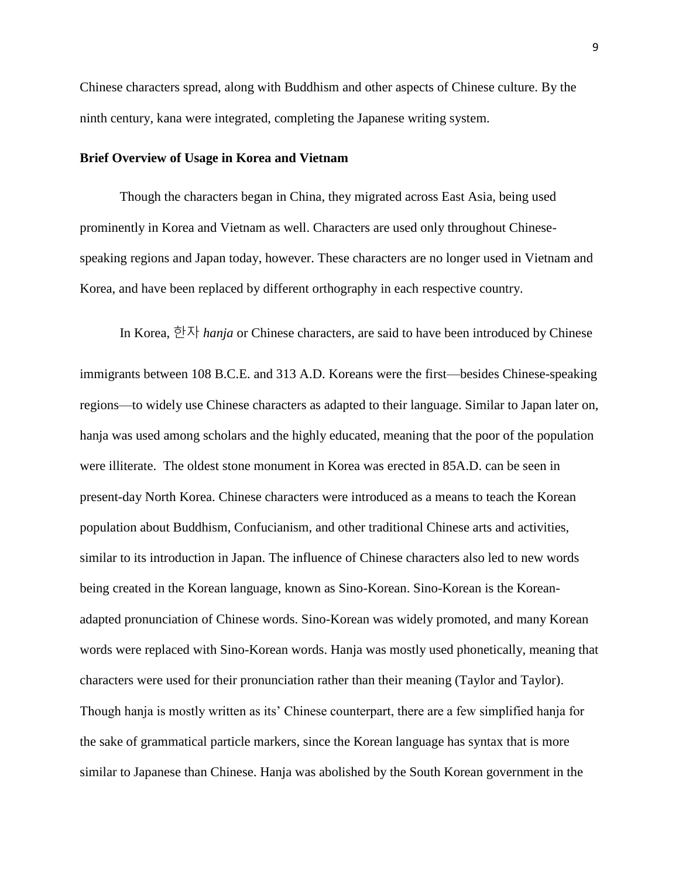Chinese characters spread, along with Buddhism and other aspects of Chinese culture. By the ninth century, kana were integrated, completing the Japanese writing system.

#### **Brief Overview of Usage in Korea and Vietnam**

Though the characters began in China, they migrated across East Asia, being used prominently in Korea and Vietnam as well. Characters are used only throughout Chinesespeaking regions and Japan today, however. These characters are no longer used in Vietnam and Korea, and have been replaced by different orthography in each respective country.

In Korea, 한자 *hanja* or Chinese characters, are said to have been introduced by Chinese

immigrants between 108 B.C.E. and 313 A.D. Koreans were the first—besides Chinese-speaking regions—to widely use Chinese characters as adapted to their language. Similar to Japan later on, hanja was used among scholars and the highly educated, meaning that the poor of the population were illiterate. The oldest stone monument in Korea was erected in 85A.D. can be seen in present-day North Korea. Chinese characters were introduced as a means to teach the Korean population about Buddhism, Confucianism, and other traditional Chinese arts and activities, similar to its introduction in Japan. The influence of Chinese characters also led to new words being created in the Korean language, known as Sino-Korean. Sino-Korean is the Koreanadapted pronunciation of Chinese words. Sino-Korean was widely promoted, and many Korean words were replaced with Sino-Korean words. Hanja was mostly used phonetically, meaning that characters were used for their pronunciation rather than their meaning (Taylor and Taylor). Though hanja is mostly written as its' Chinese counterpart, there are a few simplified hanja for the sake of grammatical particle markers, since the Korean language has syntax that is more similar to Japanese than Chinese. Hanja was abolished by the South Korean government in the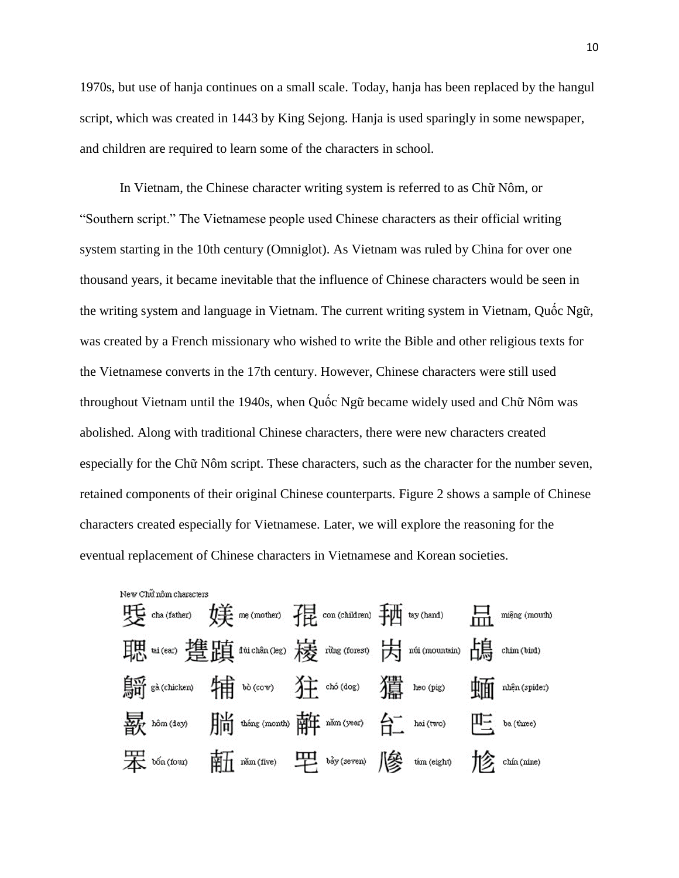1970s, but use of hanja continues on a small scale. Today, hanja has been replaced by the hangul script, which was created in 1443 by King Sejong. Hanja is used sparingly in some newspaper, and children are required to learn some of the characters in school.

In Vietnam, the Chinese character writing system is referred to as Chữ Nôm, or "Southern script." The Vietnamese people used Chinese characters as their official writing system starting in the 10th century (Omniglot). As Vietnam was ruled by China for over one thousand years, it became inevitable that the influence of Chinese characters would be seen in the writing system and language in Vietnam. The current writing system in Vietnam, Quốc Ngữ, was created by a French missionary who wished to write the Bible and other religious texts for the Vietnamese converts in the 17th century. However, Chinese characters were still used throughout Vietnam until the 1940s, when Quốc Ngữ became widely used and Chữ Nôm was abolished. Along with traditional Chinese characters, there were new characters created especially for the Chữ Nôm script. These characters, such as the character for the number seven, retained components of their original Chinese counterparts. Figure 2 shows a sample of Chinese characters created especially for Vietnamese. Later, we will explore the reasoning for the eventual replacement of Chinese characters in Vietnamese and Korean societies.

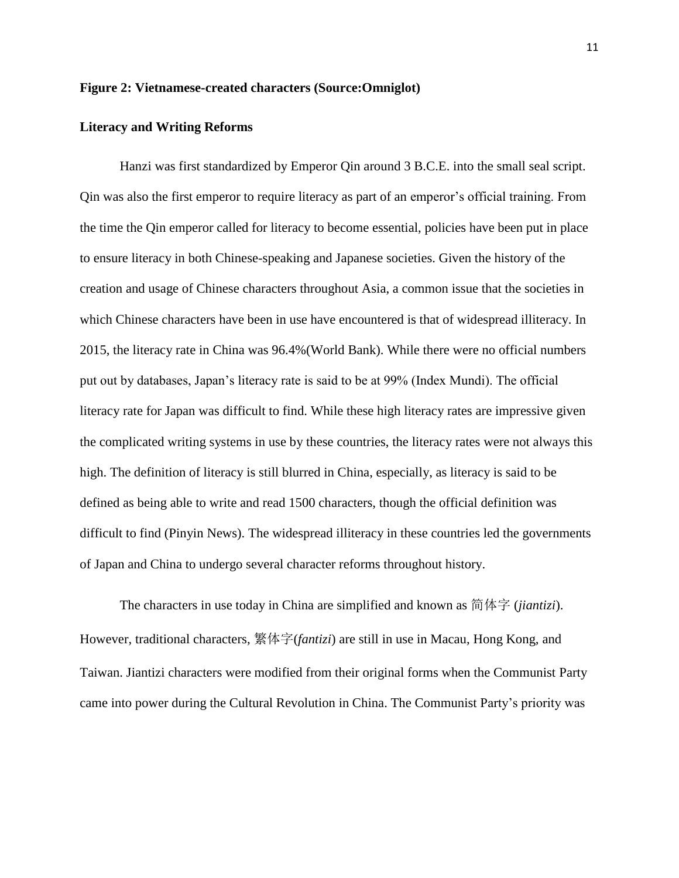#### **Figure 2: Vietnamese-created characters (Source:Omniglot)**

#### **Literacy and Writing Reforms**

Hanzi was first standardized by Emperor Qin around 3 B.C.E. into the small seal script. Qin was also the first emperor to require literacy as part of an emperor's official training. From the time the Qin emperor called for literacy to become essential, policies have been put in place to ensure literacy in both Chinese-speaking and Japanese societies. Given the history of the creation and usage of Chinese characters throughout Asia, a common issue that the societies in which Chinese characters have been in use have encountered is that of widespread illiteracy. In 2015, the literacy rate in China was 96.4%(World Bank). While there were no official numbers put out by databases, Japan's literacy rate is said to be at 99% (Index Mundi). The official literacy rate for Japan was difficult to find. While these high literacy rates are impressive given the complicated writing systems in use by these countries, the literacy rates were not always this high. The definition of literacy is still blurred in China, especially, as literacy is said to be defined as being able to write and read 1500 characters, though the official definition was difficult to find (Pinyin News). The widespread illiteracy in these countries led the governments of Japan and China to undergo several character reforms throughout history.

The characters in use today in China are simplified and known as 简体字 (*jiantizi*). However, traditional characters, 繁体字(*fantizi*) are still in use in Macau, Hong Kong, and Taiwan. Jiantizi characters were modified from their original forms when the Communist Party came into power during the Cultural Revolution in China. The Communist Party's priority was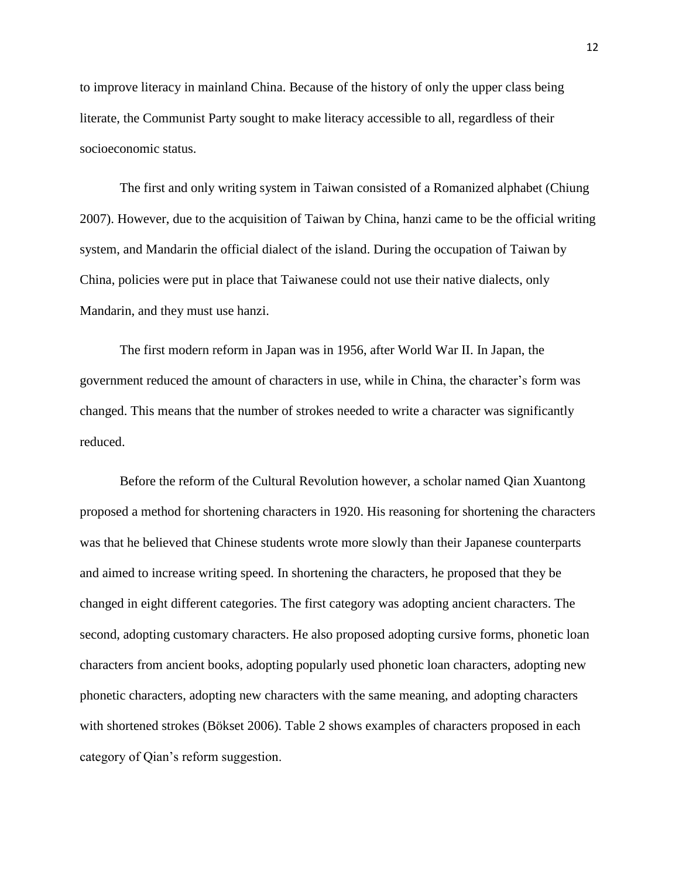to improve literacy in mainland China. Because of the history of only the upper class being literate, the Communist Party sought to make literacy accessible to all, regardless of their socioeconomic status.

The first and only writing system in Taiwan consisted of a Romanized alphabet (Chiung 2007). However, due to the acquisition of Taiwan by China, hanzi came to be the official writing system, and Mandarin the official dialect of the island. During the occupation of Taiwan by China, policies were put in place that Taiwanese could not use their native dialects, only Mandarin, and they must use hanzi.

The first modern reform in Japan was in 1956, after World War II. In Japan, the government reduced the amount of characters in use, while in China, the character's form was changed. This means that the number of strokes needed to write a character was significantly reduced.

Before the reform of the Cultural Revolution however, a scholar named Qian Xuantong proposed a method for shortening characters in 1920. His reasoning for shortening the characters was that he believed that Chinese students wrote more slowly than their Japanese counterparts and aimed to increase writing speed. In shortening the characters, he proposed that they be changed in eight different categories. The first category was adopting ancient characters. The second, adopting customary characters. He also proposed adopting cursive forms, phonetic loan characters from ancient books, adopting popularly used phonetic loan characters, adopting new phonetic characters, adopting new characters with the same meaning, and adopting characters with shortened strokes (Bökset 2006). Table 2 shows examples of characters proposed in each category of Qian's reform suggestion.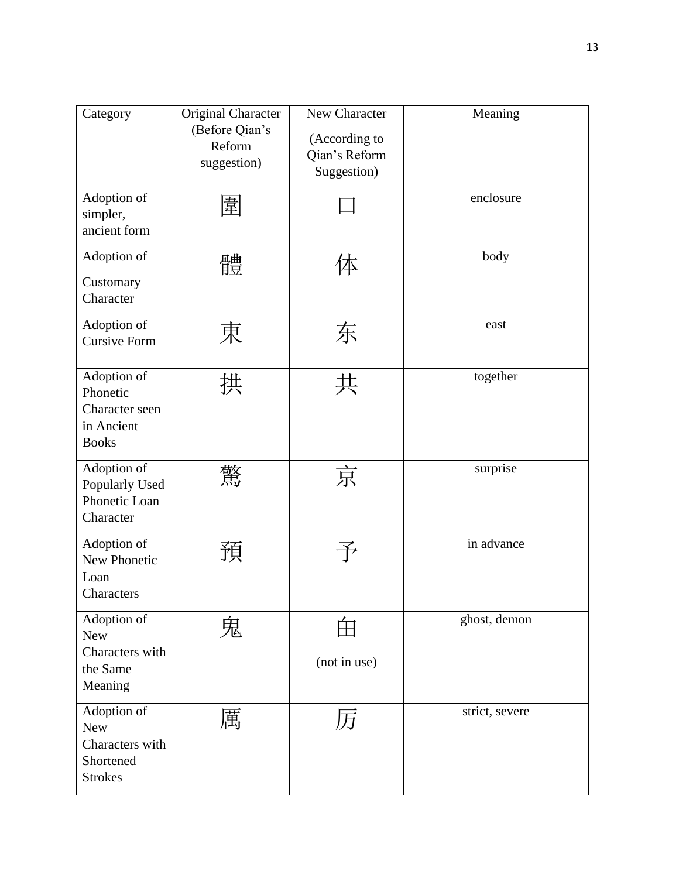| Category                                                                    | Original Character<br>(Before Qian's<br>Reform<br>suggestion) | New Character<br>(According to<br>Qian's Reform<br>Suggestion) | Meaning           |
|-----------------------------------------------------------------------------|---------------------------------------------------------------|----------------------------------------------------------------|-------------------|
| Adoption of<br>simpler,<br>ancient form                                     | 圍                                                             |                                                                | enclosure         |
| Adoption of<br>Customary<br>Character                                       | 體                                                             | 体                                                              | body              |
| Adoption of<br><b>Cursive Form</b>                                          | 東                                                             | 东                                                              | east              |
| Adoption of<br>Phonetic<br>Character seen<br>in Ancient<br><b>Books</b>     | 拱                                                             | 共                                                              | together          |
| Adoption of<br>Popularly Used<br>Phonetic Loan<br>Character                 | 驚                                                             | 京                                                              | $\mbox{surprise}$ |
| Adoption of<br>New Phonetic<br>Loan<br>Characters                           | 預                                                             |                                                                | in advance        |
| Adoption of<br><b>New</b><br>Characters with<br>the Same<br>Meaning         | 鬼                                                             | (not in use)                                                   | ghost, demon      |
| Adoption of<br><b>New</b><br>Characters with<br>Shortened<br><b>Strokes</b> | 厲                                                             | 历                                                              | strict, severe    |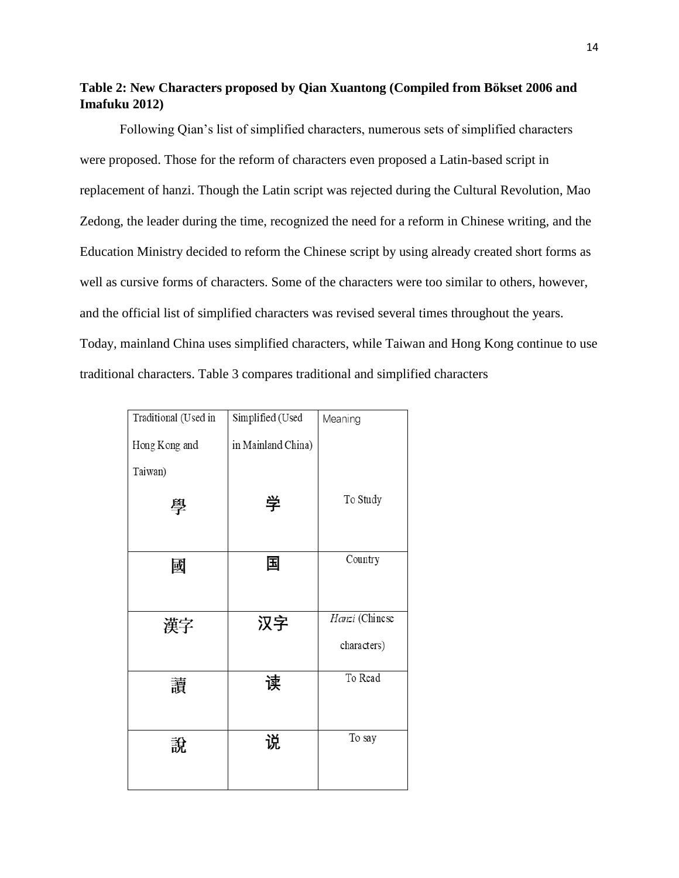## **Table 2: New Characters proposed by Qian Xuantong (Compiled from Bökset 2006 and Imafuku 2012)**

Following Qian's list of simplified characters, numerous sets of simplified characters were proposed. Those for the reform of characters even proposed a Latin-based script in replacement of hanzi. Though the Latin script was rejected during the Cultural Revolution, Mao Zedong, the leader during the time, recognized the need for a reform in Chinese writing, and the Education Ministry decided to reform the Chinese script by using already created short forms as well as cursive forms of characters. Some of the characters were too similar to others, however, and the official list of simplified characters was revised several times throughout the years. Today, mainland China uses simplified characters, while Taiwan and Hong Kong continue to use traditional characters. Table 3 compares traditional and simplified characters

| Traditional (Used in | Simplified (Used   | Meaning        |  |
|----------------------|--------------------|----------------|--|
| Hong Kong and        | in Mainland China) |                |  |
| Taiwan)              |                    |                |  |
| 學                    | 学                  | To Study       |  |
| 國                    | 国                  | Country        |  |
|                      |                    |                |  |
| 漢字                   | 汉字                 | Hanzi (Chinese |  |
|                      |                    | characters)    |  |
| 讀                    | 读                  | To Read        |  |
| 說                    | 说                  | To say         |  |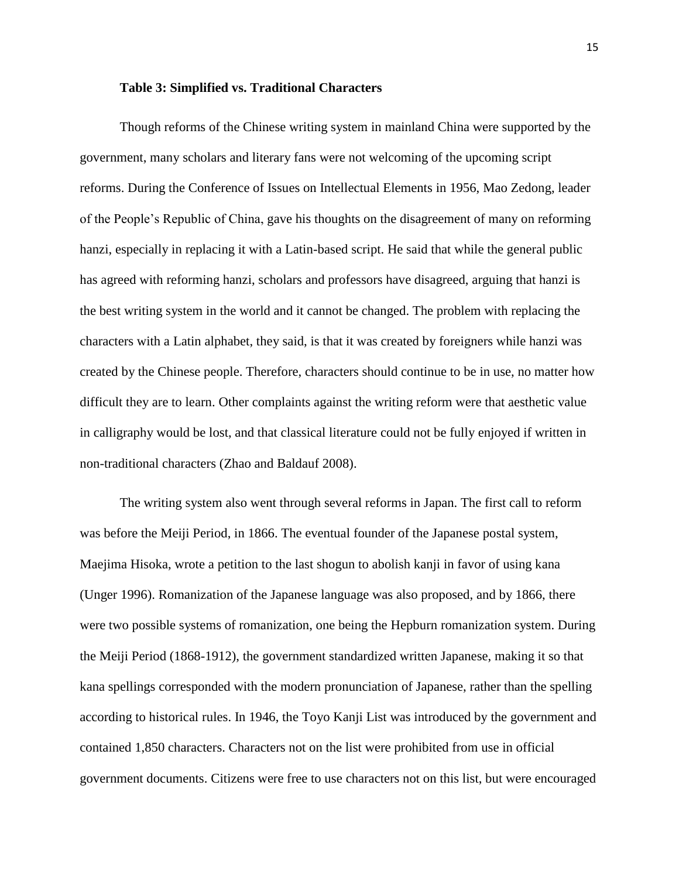#### **Table 3: Simplified vs. Traditional Characters**

Though reforms of the Chinese writing system in mainland China were supported by the government, many scholars and literary fans were not welcoming of the upcoming script reforms. During the Conference of Issues on Intellectual Elements in 1956, Mao Zedong, leader of the People's Republic of China, gave his thoughts on the disagreement of many on reforming hanzi, especially in replacing it with a Latin-based script. He said that while the general public has agreed with reforming hanzi, scholars and professors have disagreed, arguing that hanzi is the best writing system in the world and it cannot be changed. The problem with replacing the characters with a Latin alphabet, they said, is that it was created by foreigners while hanzi was created by the Chinese people. Therefore, characters should continue to be in use, no matter how difficult they are to learn. Other complaints against the writing reform were that aesthetic value in calligraphy would be lost, and that classical literature could not be fully enjoyed if written in non-traditional characters (Zhao and Baldauf 2008).

The writing system also went through several reforms in Japan. The first call to reform was before the Meiji Period, in 1866. The eventual founder of the Japanese postal system, Maejima Hisoka, wrote a petition to the last shogun to abolish kanji in favor of using kana (Unger 1996). Romanization of the Japanese language was also proposed, and by 1866, there were two possible systems of romanization, one being the Hepburn romanization system. During the Meiji Period (1868-1912), the government standardized written Japanese, making it so that kana spellings corresponded with the modern pronunciation of Japanese, rather than the spelling according to historical rules. In 1946, the Toyo Kanji List was introduced by the government and contained 1,850 characters. Characters not on the list were prohibited from use in official government documents. Citizens were free to use characters not on this list, but were encouraged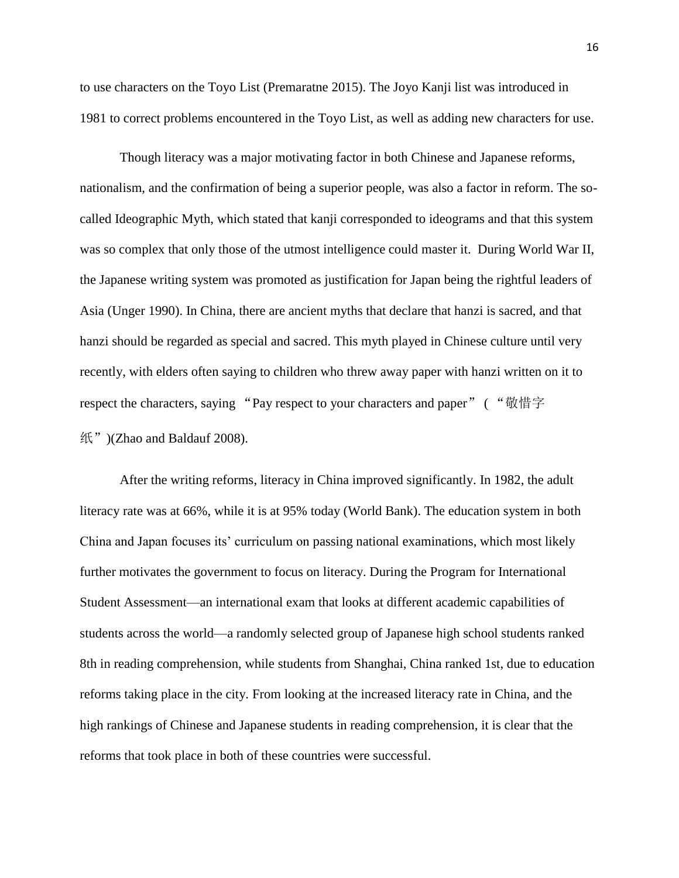to use characters on the Toyo List (Premaratne 2015). The Joyo Kanji list was introduced in 1981 to correct problems encountered in the Toyo List, as well as adding new characters for use.

Though literacy was a major motivating factor in both Chinese and Japanese reforms, nationalism, and the confirmation of being a superior people, was also a factor in reform. The socalled Ideographic Myth, which stated that kanji corresponded to ideograms and that this system was so complex that only those of the utmost intelligence could master it. During World War II, the Japanese writing system was promoted as justification for Japan being the rightful leaders of Asia (Unger 1990). In China, there are ancient myths that declare that hanzi is sacred, and that hanzi should be regarded as special and sacred. This myth played in Chinese culture until very recently, with elders often saying to children who threw away paper with hanzi written on it to respect the characters, saying "Pay respect to your characters and paper" ( "敬惜字 纸")(Zhao and Baldauf 2008).

After the writing reforms, literacy in China improved significantly. In 1982, the adult literacy rate was at 66%, while it is at 95% today (World Bank). The education system in both China and Japan focuses its' curriculum on passing national examinations, which most likely further motivates the government to focus on literacy. During the Program for International Student Assessment—an international exam that looks at different academic capabilities of students across the world—a randomly selected group of Japanese high school students ranked 8th in reading comprehension, while students from Shanghai, China ranked 1st, due to education reforms taking place in the city. From looking at the increased literacy rate in China, and the high rankings of Chinese and Japanese students in reading comprehension, it is clear that the reforms that took place in both of these countries were successful.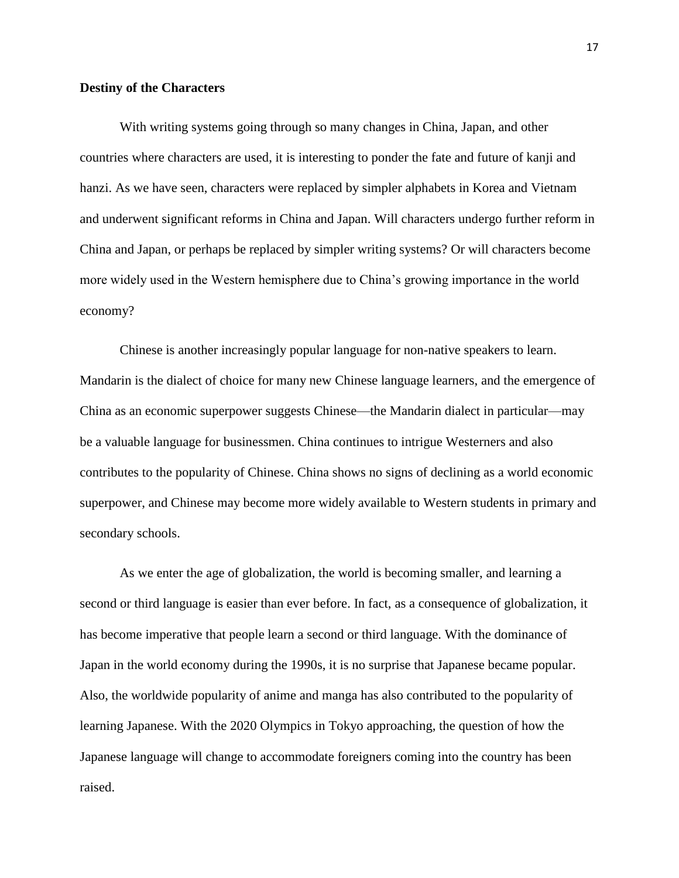#### **Destiny of the Characters**

With writing systems going through so many changes in China, Japan, and other countries where characters are used, it is interesting to ponder the fate and future of kanji and hanzi. As we have seen, characters were replaced by simpler alphabets in Korea and Vietnam and underwent significant reforms in China and Japan. Will characters undergo further reform in China and Japan, or perhaps be replaced by simpler writing systems? Or will characters become more widely used in the Western hemisphere due to China's growing importance in the world economy?

Chinese is another increasingly popular language for non-native speakers to learn. Mandarin is the dialect of choice for many new Chinese language learners, and the emergence of China as an economic superpower suggests Chinese—the Mandarin dialect in particular—may be a valuable language for businessmen. China continues to intrigue Westerners and also contributes to the popularity of Chinese. China shows no signs of declining as a world economic superpower, and Chinese may become more widely available to Western students in primary and secondary schools.

As we enter the age of globalization, the world is becoming smaller, and learning a second or third language is easier than ever before. In fact, as a consequence of globalization, it has become imperative that people learn a second or third language. With the dominance of Japan in the world economy during the 1990s, it is no surprise that Japanese became popular. Also, the worldwide popularity of anime and manga has also contributed to the popularity of learning Japanese. With the 2020 Olympics in Tokyo approaching, the question of how the Japanese language will change to accommodate foreigners coming into the country has been raised.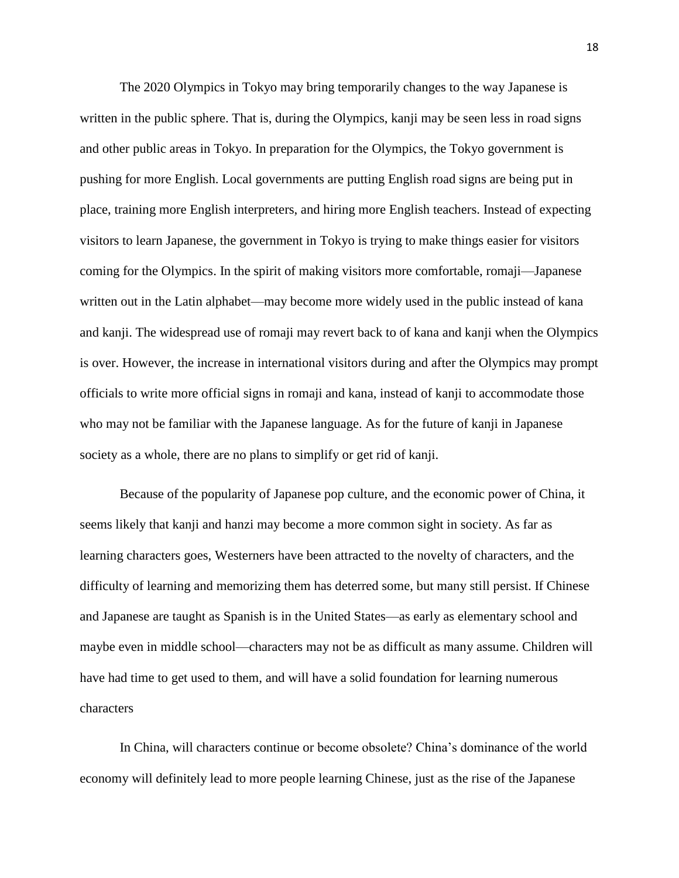The 2020 Olympics in Tokyo may bring temporarily changes to the way Japanese is written in the public sphere. That is, during the Olympics, kanji may be seen less in road signs and other public areas in Tokyo. In preparation for the Olympics, the Tokyo government is pushing for more English. Local governments are putting English road signs are being put in place, training more English interpreters, and hiring more English teachers. Instead of expecting visitors to learn Japanese, the government in Tokyo is trying to make things easier for visitors coming for the Olympics. In the spirit of making visitors more comfortable, romaji—Japanese written out in the Latin alphabet—may become more widely used in the public instead of kana and kanji. The widespread use of romaji may revert back to of kana and kanji when the Olympics is over. However, the increase in international visitors during and after the Olympics may prompt officials to write more official signs in romaji and kana, instead of kanji to accommodate those who may not be familiar with the Japanese language. As for the future of kanji in Japanese society as a whole, there are no plans to simplify or get rid of kanji.

Because of the popularity of Japanese pop culture, and the economic power of China, it seems likely that kanji and hanzi may become a more common sight in society. As far as learning characters goes, Westerners have been attracted to the novelty of characters, and the difficulty of learning and memorizing them has deterred some, but many still persist. If Chinese and Japanese are taught as Spanish is in the United States—as early as elementary school and maybe even in middle school—characters may not be as difficult as many assume. Children will have had time to get used to them, and will have a solid foundation for learning numerous characters

In China, will characters continue or become obsolete? China's dominance of the world economy will definitely lead to more people learning Chinese, just as the rise of the Japanese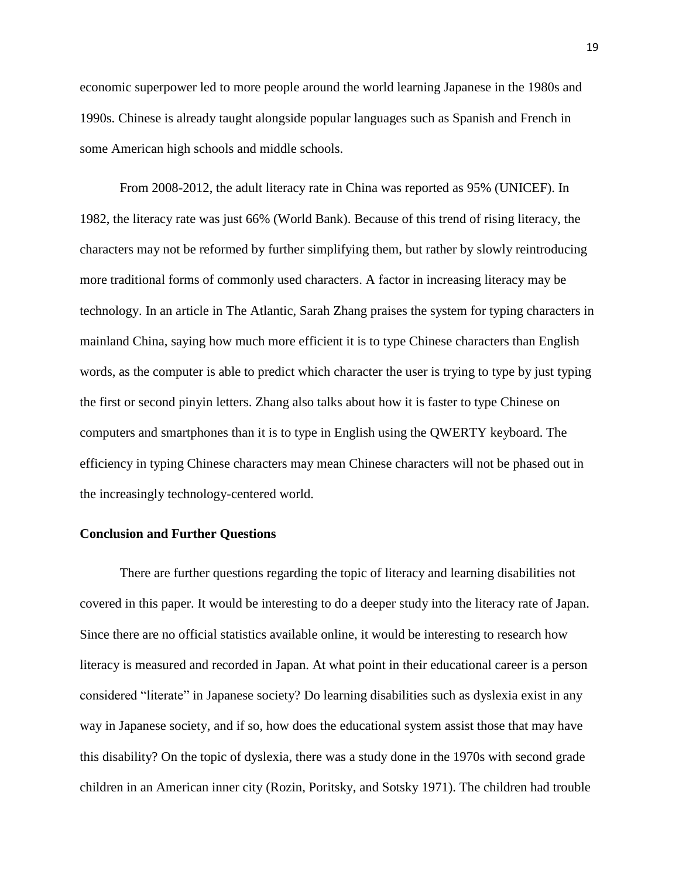economic superpower led to more people around the world learning Japanese in the 1980s and 1990s. Chinese is already taught alongside popular languages such as Spanish and French in some American high schools and middle schools.

From 2008-2012, the adult literacy rate in China was reported as 95% (UNICEF). In 1982, the literacy rate was just 66% (World Bank). Because of this trend of rising literacy, the characters may not be reformed by further simplifying them, but rather by slowly reintroducing more traditional forms of commonly used characters. A factor in increasing literacy may be technology. In an article in The Atlantic, Sarah Zhang praises the system for typing characters in mainland China, saying how much more efficient it is to type Chinese characters than English words, as the computer is able to predict which character the user is trying to type by just typing the first or second pinyin letters. Zhang also talks about how it is faster to type Chinese on computers and smartphones than it is to type in English using the QWERTY keyboard. The efficiency in typing Chinese characters may mean Chinese characters will not be phased out in the increasingly technology-centered world.

#### **Conclusion and Further Questions**

There are further questions regarding the topic of literacy and learning disabilities not covered in this paper. It would be interesting to do a deeper study into the literacy rate of Japan. Since there are no official statistics available online, it would be interesting to research how literacy is measured and recorded in Japan. At what point in their educational career is a person considered "literate" in Japanese society? Do learning disabilities such as dyslexia exist in any way in Japanese society, and if so, how does the educational system assist those that may have this disability? On the topic of dyslexia, there was a study done in the 1970s with second grade children in an American inner city (Rozin, Poritsky, and Sotsky 1971). The children had trouble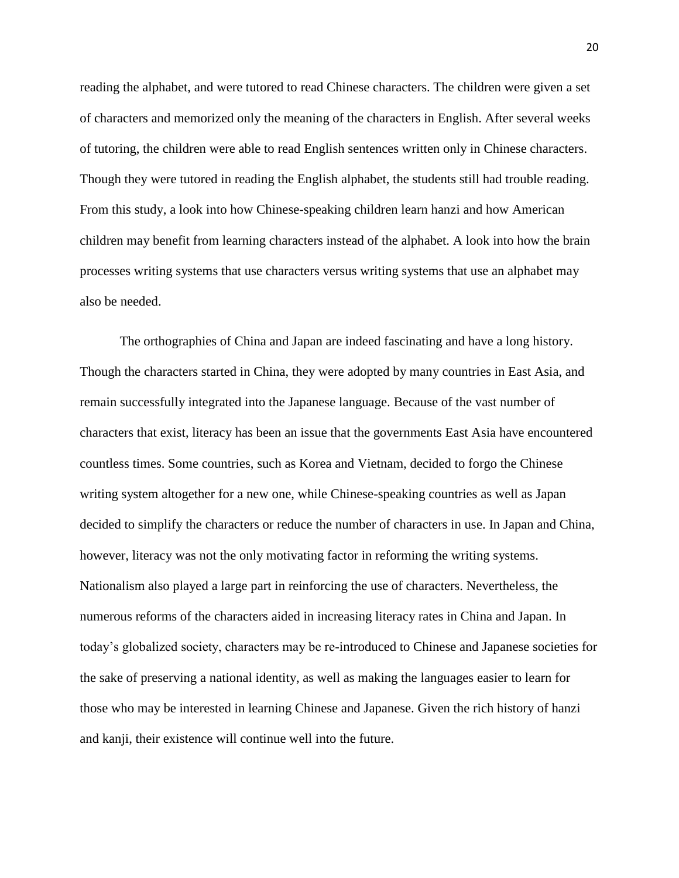reading the alphabet, and were tutored to read Chinese characters. The children were given a set of characters and memorized only the meaning of the characters in English. After several weeks of tutoring, the children were able to read English sentences written only in Chinese characters. Though they were tutored in reading the English alphabet, the students still had trouble reading. From this study, a look into how Chinese-speaking children learn hanzi and how American children may benefit from learning characters instead of the alphabet. A look into how the brain processes writing systems that use characters versus writing systems that use an alphabet may also be needed.

The orthographies of China and Japan are indeed fascinating and have a long history. Though the characters started in China, they were adopted by many countries in East Asia, and remain successfully integrated into the Japanese language. Because of the vast number of characters that exist, literacy has been an issue that the governments East Asia have encountered countless times. Some countries, such as Korea and Vietnam, decided to forgo the Chinese writing system altogether for a new one, while Chinese-speaking countries as well as Japan decided to simplify the characters or reduce the number of characters in use. In Japan and China, however, literacy was not the only motivating factor in reforming the writing systems. Nationalism also played a large part in reinforcing the use of characters. Nevertheless, the numerous reforms of the characters aided in increasing literacy rates in China and Japan. In today's globalized society, characters may be re-introduced to Chinese and Japanese societies for the sake of preserving a national identity, as well as making the languages easier to learn for those who may be interested in learning Chinese and Japanese. Given the rich history of hanzi and kanji, their existence will continue well into the future.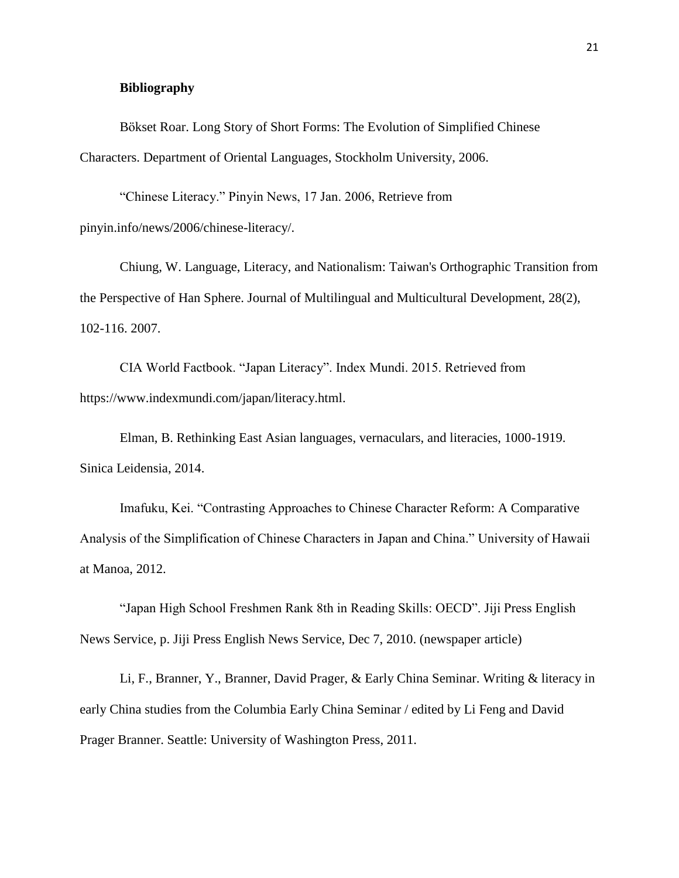#### **Bibliography**

Bökset Roar. Long Story of Short Forms: The Evolution of Simplified Chinese Characters. Department of Oriental Languages, Stockholm University, 2006.

"Chinese Literacy." Pinyin News, 17 Jan. 2006, Retrieve from pinyin.info/news/2006/chinese-literacy/.

Chiung, W. Language, Literacy, and Nationalism: Taiwan's Orthographic Transition from the Perspective of Han Sphere. Journal of Multilingual and Multicultural Development, 28(2), 102-116. 2007.

CIA World Factbook. "Japan Literacy". Index Mundi. 2015. Retrieved from https://www.indexmundi.com/japan/literacy.html.

Elman, B. Rethinking East Asian languages, vernaculars, and literacies, 1000-1919. Sinica Leidensia, 2014.

Imafuku, Kei. "Contrasting Approaches to Chinese Character Reform: A Comparative Analysis of the Simplification of Chinese Characters in Japan and China." University of Hawaii at Manoa, 2012.

"Japan High School Freshmen Rank 8th in Reading Skills: OECD". Jiji Press English News Service, p. Jiji Press English News Service, Dec 7, 2010. (newspaper article)

Li, F., Branner, Y., Branner, David Prager, & Early China Seminar. Writing & literacy in early China studies from the Columbia Early China Seminar / edited by Li Feng and David Prager Branner. Seattle: University of Washington Press, 2011.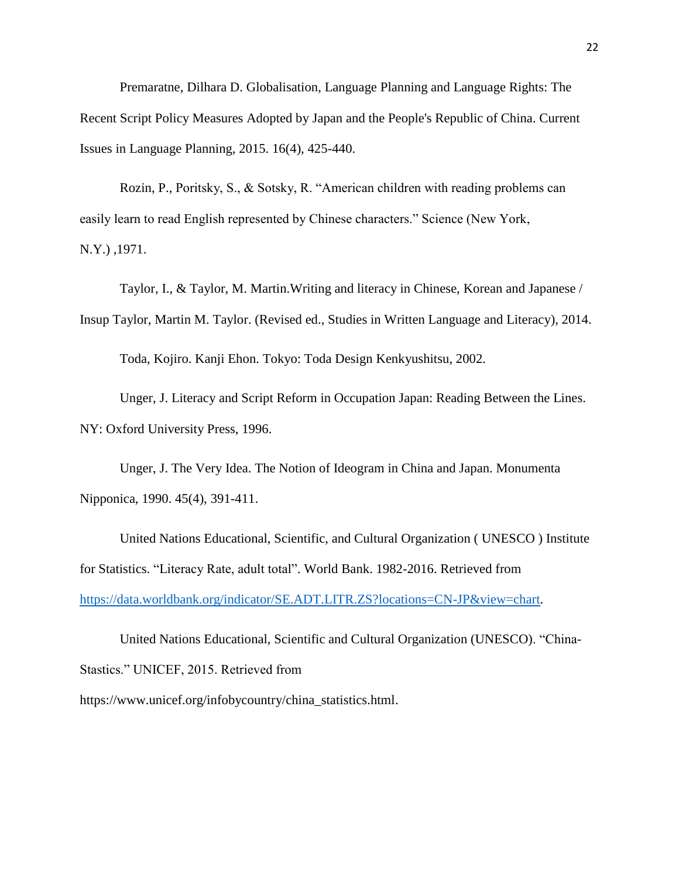Premaratne, Dilhara D. Globalisation, Language Planning and Language Rights: The Recent Script Policy Measures Adopted by Japan and the People's Republic of China. Current Issues in Language Planning, 2015. 16(4), 425-440.

Rozin, P., Poritsky, S., & Sotsky, R. "American children with reading problems can easily learn to read English represented by Chinese characters." Science (New York, N.Y.) ,1971.

Taylor, I., & Taylor, M. Martin.Writing and literacy in Chinese, Korean and Japanese / Insup Taylor, Martin M. Taylor. (Revised ed., Studies in Written Language and Literacy), 2014.

Toda, Kojiro. Kanji Ehon. Tokyo: Toda Design Kenkyushitsu, 2002.

Unger, J. Literacy and Script Reform in Occupation Japan: Reading Between the Lines. NY: Oxford University Press, 1996.

Unger, J. The Very Idea. The Notion of Ideogram in China and Japan. Monumenta Nipponica, 1990. 45(4), 391-411.

United Nations Educational, Scientific, and Cultural Organization ( UNESCO ) Institute for Statistics. "Literacy Rate, adult total". World Bank. 1982-2016. Retrieved from [https://data.worldbank.org/indicator/SE.ADT.LITR.ZS?locations=CN-JP&view=chart.](https://data.worldbank.org/indicator/SE.ADT.LITR.ZS?locations=CN-JP&view=chart)

United Nations Educational, Scientific and Cultural Organization (UNESCO). "China-Stastics." UNICEF, 2015. Retrieved from https://www.unicef.org/infobycountry/china\_statistics.html.